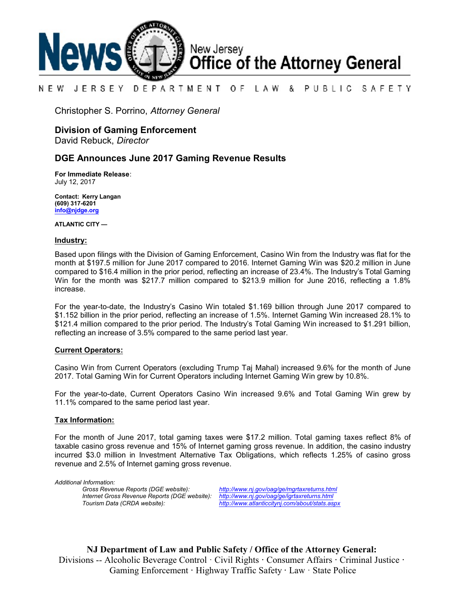

#### NEW JERSEY DEPARTMENT OF. LAW & PUBLIC SAFETY

Christopher S. Porrino, *Attorney General*

# **Division of Gaming Enforcement**

David Rebuck, *Director*

## **DGE Announces June 2017 Gaming Revenue Results**

**For Immediate Release**: July 12, 2017

**Contact: Kerry Langan (609) 317-6201 [info@njdge.org](file:///|//info@njdge.org)**

**ATLANTIC CITY —**

#### **Industry:**

Based upon filings with the Division of Gaming Enforcement, Casino Win from the Industry was flat for the month at \$197.5 million for June 2017 compared to 2016. Internet Gaming Win was \$20.2 million in June compared to \$16.4 million in the prior period, reflecting an increase of 23.4%. The Industry's Total Gaming Win for the month was \$217.7 million compared to \$213.9 million for June 2016, reflecting a 1.8% increase.

For the year-to-date, the Industry's Casino Win totaled \$1.169 billion through June 2017 compared to \$1.152 billion in the prior period, reflecting an increase of 1.5%. Internet Gaming Win increased 28.1% to \$121.4 million compared to the prior period. The Industry's Total Gaming Win increased to \$1.291 billion, reflecting an increase of 3.5% compared to the same period last year.

### **Current Operators:**

Casino Win from Current Operators (excluding Trump Taj Mahal) increased 9.6% for the month of June 2017. Total Gaming Win for Current Operators including Internet Gaming Win grew by 10.8%.

For the year-to-date, Current Operators Casino Win increased 9.6% and Total Gaming Win grew by 11.1% compared to the same period last year.

### **Tax Information:**

For the month of June 2017, total gaming taxes were \$17.2 million. Total gaming taxes reflect 8% of taxable casino gross revenue and 15% of Internet gaming gross revenue. In addition, the casino industry incurred \$3.0 million in Investment Alternative Tax Obligations, which reflects 1.25% of casino gross revenue and 2.5% of Internet gaming gross revenue.

*Additional Information: Internet Gross Revenue Reports (DGE website): <http://www.nj.gov/oag/ge/igrtaxreturns.html>*

*Gross Revenue Reports (DGE website): <http://www.nj.gov/oag/ge/mgrtaxreturns.html> Tourism Data (CRDA website): <http://www.atlanticcitynj.com/about/stats.aspx>*

**NJ Department of Law and Public Safety / Office of the Attorney General:** Divisions -- Alcoholic Beverage Control · Civil Rights **·** Consumer Affairs **·** Criminal Justice **·**  Gaming Enforcement **·** Highway Traffic Safety **·** Law · State Police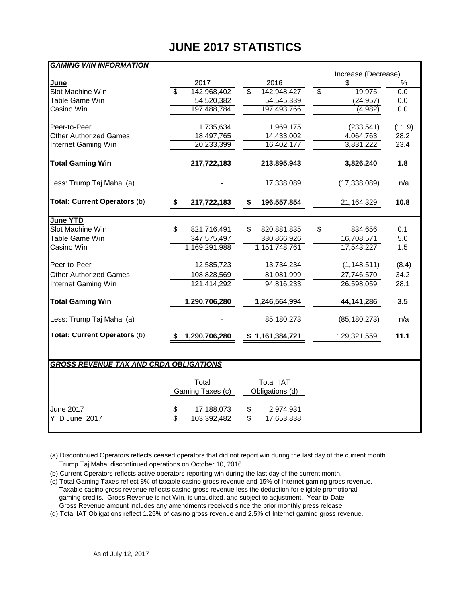# **JUNE 2017 STATISTICS**

| <u>GAMING WIN INFORMATION</u>                 |                                                |                           |                                          |               |
|-----------------------------------------------|------------------------------------------------|---------------------------|------------------------------------------|---------------|
|                                               |                                                |                           | Increase (Decrease)                      | $\frac{0}{6}$ |
| June                                          | 2017<br>$\overline{\mathbb{S}}$<br>142,968,402 | 2016<br>142,948,427<br>\$ | \$<br>19,975<br>$\overline{\mathcal{S}}$ | 0.0           |
| Slot Machine Win<br><b>Table Game Win</b>     |                                                |                           |                                          | 0.0           |
|                                               | 54,520,382                                     | 54,545,339                | (24, 957)                                |               |
| Casino Win                                    | 197,488,784                                    | 197,493,766               | (4,982)                                  | 0.0           |
| Peer-to-Peer                                  | 1,735,634                                      | 1,969,175                 | (233, 541)                               | (11.9)        |
| <b>Other Authorized Games</b>                 | 18,497,765                                     | 14,433,002                | 4,064,763                                | 28.2          |
| Internet Gaming Win                           | 20,233,399                                     | 16,402,177                | 3,831,222                                | 23.4          |
|                                               |                                                |                           |                                          |               |
| <b>Total Gaming Win</b>                       | 217,722,183                                    | 213,895,943               | 3,826,240                                | 1.8           |
| Less: Trump Taj Mahal (a)                     |                                                | 17,338,089                | (17, 338, 089)                           | n/a           |
| Total: Current Operators (b)                  | 217,722,183<br>\$                              | 196,557,854<br>\$         | 21,164,329                               | 10.8          |
|                                               |                                                |                           |                                          |               |
| <b>June YTD</b>                               |                                                |                           |                                          |               |
| Slot Machine Win                              | \$<br>821,716,491                              | \$<br>820,881,835         | \$<br>834,656                            | 0.1           |
| Table Game Win                                | 347,575,497                                    | 330,866,926               | 16,708,571                               | 5.0           |
| Casino Win                                    | 1,169,291,988                                  | 1,151,748,761             | 17,543,227                               | 1.5           |
| Peer-to-Peer                                  | 12,585,723                                     | 13,734,234                | (1, 148, 511)                            | (8.4)         |
| <b>Other Authorized Games</b>                 | 108,828,569                                    | 81,081,999                | 27,746,570                               | 34.2          |
| Internet Gaming Win                           | 121,414,292                                    | 94,816,233                | 26,598,059                               | 28.1          |
|                                               |                                                |                           |                                          |               |
| <b>Total Gaming Win</b>                       | 1,290,706,280                                  | 1,246,564,994             | 44,141,286                               | 3.5           |
| Less: Trump Taj Mahal (a)                     |                                                | 85,180,273                | (85, 180, 273)                           | n/a           |
| Total: Current Operators (b)                  | 1,290,706,280                                  | \$1,161,384,721           | 129,321,559                              | 11.1          |
|                                               |                                                |                           |                                          |               |
| <b>GROSS REVENUE TAX AND CRDA OBLIGATIONS</b> |                                                |                           |                                          |               |
|                                               | Total                                          | Total IAT                 |                                          |               |
|                                               | Gaming Taxes (c)                               | Obligations (d)           |                                          |               |
| June 2017                                     |                                                |                           |                                          |               |
|                                               | \$<br>17,188,073<br>\$                         | \$<br>2,974,931           |                                          |               |
| YTD June 2017                                 | 103,392,482                                    | \$<br>17,653,838          |                                          |               |
|                                               |                                                |                           |                                          |               |

(a) Discontinued Operators reflects ceased operators that did not report win during the last day of the current month. Trump Taj Mahal discontinued operations on October 10, 2016.

(b) Current Operators reflects active operators reporting win during the last day of the current month.

(c) Total Gaming Taxes reflect 8% of taxable casino gross revenue and 15% of Internet gaming gross revenue. Taxable casino gross revenue reflects casino gross revenue less the deduction for eligible promotional gaming credits. Gross Revenue is not Win, is unaudited, and subject to adjustment. Year-to-Date Gross Revenue amount includes any amendments received since the prior monthly press release.

(d) Total IAT Obligations reflect 1.25% of casino gross revenue and 2.5% of Internet gaming gross revenue.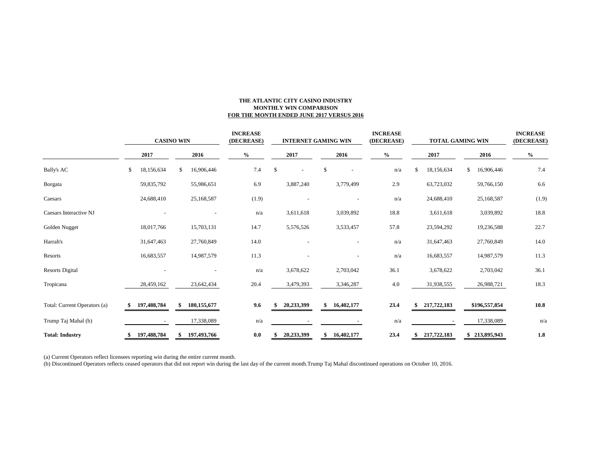#### **THE ATLANTIC CITY CASINO INDUSTRY MONTHLY WIN COMPARISON FOR THE MONTH ENDED JUNE 2017 VERSUS 2016**

|                              | <b>CASINO WIN</b> |             |    | <b>INCREASE</b><br>(DECREASE) |  | <b>INTERNET GAMING WIN</b> |               |            |    | <b>INCREASE</b><br>(DECREASE) |  | <b>TOTAL GAMING WIN</b> |    |             |    | <b>INCREASE</b><br>(DECREASE) |         |
|------------------------------|-------------------|-------------|----|-------------------------------|--|----------------------------|---------------|------------|----|-------------------------------|--|-------------------------|----|-------------|----|-------------------------------|---------|
|                              |                   | 2017        |    | 2016                          |  | $\%$                       |               | 2017       |    | 2016                          |  | $\%$                    |    | 2017        |    | 2016                          | $\%$    |
| <b>Bally's AC</b>            | \$                | 18,156,634  | \$ | 16,906,446                    |  | 7.4                        | $\mathcal{S}$ |            | \$ |                               |  | n/a                     | \$ | 18,156,634  | \$ | 16,906,446                    | 7.4     |
| Borgata                      |                   | 59,835,792  |    | 55,986,651                    |  | 6.9                        |               | 3,887,240  |    | 3,779,499                     |  | 2.9                     |    | 63,723,032  |    | 59,766,150                    | 6.6     |
| Caesars                      |                   | 24,688,410  |    | 25,168,587                    |  | (1.9)                      |               |            |    |                               |  | n/a                     |    | 24,688,410  |    | 25,168,587                    | (1.9)   |
| Caesars Interactive NJ       |                   |             |    |                               |  | n/a                        |               | 3,611,618  |    | 3,039,892                     |  | 18.8                    |    | 3,611,618   |    | 3,039,892                     | 18.8    |
| Golden Nugget                |                   | 18,017,766  |    | 15,703,131                    |  | 14.7                       |               | 5,576,526  |    | 3,533,457                     |  | 57.8                    |    | 23,594,292  |    | 19,236,588                    | 22.7    |
| Harrah's                     |                   | 31,647,463  |    | 27,760,849                    |  | 14.0                       |               |            |    |                               |  | n/a                     |    | 31,647,463  |    | 27,760,849                    | 14.0    |
| Resorts                      |                   | 16,683,557  |    | 14,987,579                    |  | 11.3                       |               |            |    |                               |  | n/a                     |    | 16,683,557  |    | 14,987,579                    | 11.3    |
| <b>Resorts Digital</b>       |                   |             |    |                               |  | n/a                        |               | 3,678,622  |    | 2,703,042                     |  | 36.1                    |    | 3,678,622   |    | 2,703,042                     | 36.1    |
| Tropicana                    |                   | 28,459,162  |    | 23,642,434                    |  | 20.4                       |               | 3,479,393  |    | 3,346,287                     |  | 4.0                     |    | 31,938,555  |    | 26,988,721                    | 18.3    |
| Total: Current Operators (a) |                   | 197,488,784 | S. | 180, 155, 677                 |  | 9.6                        |               | 20,233,399 | S. | 16,402,177                    |  | 23.4                    |    | 217,722,183 |    | \$196,557,854                 | 10.8    |
| Trump Taj Mahal (b)          |                   |             |    | 17,338,089                    |  | n/a                        |               |            |    |                               |  | n/a                     |    |             |    | 17,338,089                    | n/a     |
| <b>Total: Industry</b>       |                   | 197,488,784 |    | 197,493,766                   |  | 0.0                        |               | 20,233,399 | \$ | 16,402,177                    |  | 23.4                    |    | 217,722,183 |    | \$213,895,943                 | $1.8\,$ |

(a) Current Operators reflect licensees reporting win during the entire current month.

(b) Discontinued Operators reflects ceased operators that did not report win during the last day of the current month.Trump Taj Mahal discontinued operations on October 10, 2016.